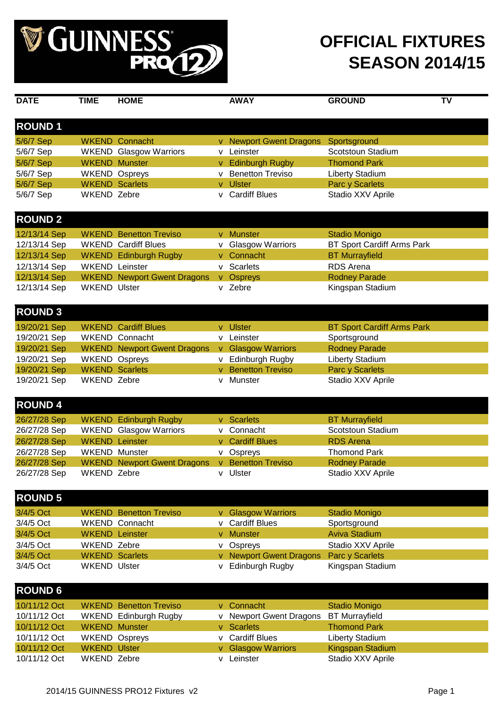

| <b>DATE</b>                  | <b>TIME</b>           | <b>HOME</b>                        |    | <b>AWAY</b>                      | <b>GROUND</b>                         | <b>TV</b> |
|------------------------------|-----------------------|------------------------------------|----|----------------------------------|---------------------------------------|-----------|
|                              |                       |                                    |    |                                  |                                       |           |
| <b>ROUND1</b>                |                       |                                    |    |                                  |                                       |           |
| 5/6/7 Sep                    |                       | <b>WKEND Connacht</b>              |    | v Newport Gwent Dragons          | Sportsground                          |           |
| 5/6/7 Sep                    |                       | <b>WKEND Glasgow Warriors</b>      |    | v Leinster                       | Scotstoun Stadium                     |           |
| 5/6/7 Sep                    |                       | <b>WKEND Munster</b>               | V  | <b>Edinburgh Rugby</b>           | <b>Thomond Park</b>                   |           |
| 5/6/7 Sep                    |                       | <b>WKEND Ospreys</b>               |    | <b>Benetton Treviso</b>          | Liberty Stadium                       |           |
| 5/6/7 Sep                    |                       | <b>WKEND Scarlets</b>              |    | v Ulster                         | Parc y Scarlets                       |           |
| 5/6/7 Sep                    | <b>WKEND Zebre</b>    |                                    |    | v Cardiff Blues                  | Stadio XXV Aprile                     |           |
|                              |                       |                                    |    |                                  |                                       |           |
| <b>ROUND 2</b>               |                       |                                    |    |                                  |                                       |           |
| 12/13/14 Sep                 |                       | <b>WKEND</b> Benetton Treviso      |    | v Munster                        | <b>Stadio Monigo</b>                  |           |
| 12/13/14 Sep                 |                       | <b>WKEND Cardiff Blues</b>         |    | v Glasgow Warriors               | BT Sport Cardiff Arms Park            |           |
| 12/13/14 Sep                 |                       | <b>WKEND</b> Edinburgh Rugby       | v. | Connacht                         | <b>BT Murrayfield</b>                 |           |
| 12/13/14 Sep                 | <b>WKEND</b> Leinster |                                    |    | v Scarlets                       | <b>RDS</b> Arena                      |           |
| 12/13/14 Sep                 |                       | <b>WKEND</b> Newport Gwent Dragons |    | v Ospreys                        | <b>Rodney Parade</b>                  |           |
| 12/13/14 Sep                 | <b>WKEND Ulster</b>   |                                    |    | v Zebre                          | Kingspan Stadium                      |           |
|                              |                       |                                    |    |                                  |                                       |           |
| <b>ROUND 3</b>               |                       |                                    |    |                                  |                                       |           |
|                              |                       |                                    |    |                                  |                                       |           |
| 19/20/21 Sep                 |                       | <b>WKEND Cardiff Blues</b>         |    | v Ulster                         | <b>BT Sport Cardiff Arms Park</b>     |           |
| 19/20/21 Sep                 |                       | <b>WKEND Connacht</b>              |    | v Leinster                       | Sportsground                          |           |
| 19/20/21 Sep                 |                       | <b>WKEND Newport Gwent Dragons</b> |    | v Glasgow Warriors               | <b>Rodney Parade</b>                  |           |
| 19/20/21 Sep                 |                       | <b>WKEND Ospreys</b>               |    | <b>Edinburgh Rugby</b>           | Liberty Stadium                       |           |
| 19/20/21 Sep                 |                       | <b>WKEND Scarlets</b>              | v  | <b>Benetton Treviso</b>          | Parc y Scarlets                       |           |
| 19/20/21 Sep                 | <b>WKEND Zebre</b>    |                                    | v  | Munster                          | Stadio XXV Aprile                     |           |
|                              |                       |                                    |    |                                  |                                       |           |
| <b>ROUND 4</b>               |                       |                                    |    |                                  |                                       |           |
| 26/27/28 Sep                 |                       | <b>WKEND</b> Edinburgh Rugby       | v. | <b>Scarlets</b>                  | <b>BT Murrayfield</b>                 |           |
| 26/27/28 Sep                 |                       | <b>WKEND Glasgow Warriors</b>      | v  | Connacht                         | Scotstoun Stadium                     |           |
| 26/27/28 Sep                 |                       | <b>WKEND Leinster</b>              |    | v Cardiff Blues                  | <b>RDS Arena</b>                      |           |
| 26/27/28 Sep                 |                       | <b>WKEND Munster</b>               |    | v Ospreys                        | <b>Thomond Park</b>                   |           |
| 26/27/28 Sep                 |                       | <b>WKEND Newport Gwent Dragons</b> |    | v Benetton Treviso               | <b>Rodney Parade</b>                  |           |
| 26/27/28 Sep                 | <b>WKEND Zebre</b>    |                                    |    | v Ulster                         | Stadio XXV Aprile                     |           |
|                              |                       |                                    |    |                                  |                                       |           |
| <b>ROUND 5</b>               |                       |                                    |    |                                  |                                       |           |
| 3/4/5 Oct                    |                       | <b>WKEND</b> Benetton Treviso      |    | v Glasgow Warriors               | <b>Stadio Monigo</b>                  |           |
| 3/4/5 Oct                    |                       | <b>WKEND Connacht</b>              |    | v Cardiff Blues                  | Sportsground                          |           |
| 3/4/5 Oct                    |                       | <b>WKEND Leinster</b>              |    | v Munster                        | <b>Aviva Stadium</b>                  |           |
| 3/4/5 Oct                    | <b>WKEND Zebre</b>    |                                    |    | v Ospreys                        | Stadio XXV Aprile                     |           |
| 3/4/5 Oct                    |                       | <b>WKEND Scarlets</b>              | V  | <b>Newport Gwent Dragons</b>     | <b>Parc y Scarlets</b>                |           |
| 3/4/5 Oct                    | <b>WKEND Ulster</b>   |                                    | v  | Edinburgh Rugby                  | Kingspan Stadium                      |           |
|                              |                       |                                    |    |                                  |                                       |           |
| <b>ROUND 6</b>               |                       |                                    |    |                                  |                                       |           |
| 10/11/12 Oct                 |                       | <b>WKEND</b> Benetton Treviso      |    | v Connacht                       |                                       |           |
| 10/11/12 Oct                 |                       |                                    |    |                                  | <b>Stadio Monigo</b>                  |           |
|                              |                       | <b>WKEND</b> Edinburgh Rugby       |    | v Newport Gwent Dragons          | <b>BT Murrayfield</b>                 |           |
| 10/11/12 Oct                 |                       | <b>WKEND Munster</b>               | V. | <b>Scarlets</b>                  | <b>Thomond Park</b>                   |           |
| 10/11/12 Oct<br>10/11/12 Oct | <b>WKEND Ulster</b>   | <b>WKEND Ospreys</b>               |    | v Cardiff Blues                  | Liberty Stadium                       |           |
| 10/11/12 Oct                 | WKEND Zebre           |                                    |    | v Glasgow Warriors<br>v Leinster | Kingspan Stadium<br>Stadio XXV Aprile |           |
|                              |                       |                                    |    |                                  |                                       |           |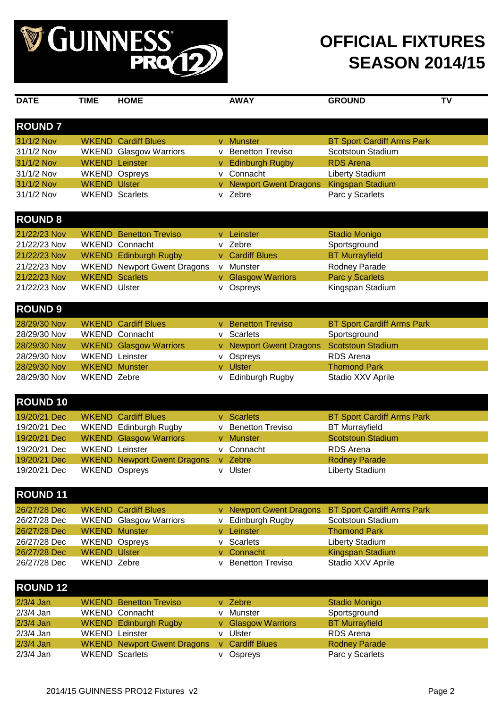

| <b>DATE</b>                  | <b>TIME</b>         | <b>HOME</b>                                            |   | <b>AWAY</b>                               | <b>GROUND</b>                             | TV |
|------------------------------|---------------------|--------------------------------------------------------|---|-------------------------------------------|-------------------------------------------|----|
|                              |                     |                                                        |   |                                           |                                           |    |
| <b>ROUND7</b>                |                     |                                                        |   |                                           |                                           |    |
| 31/1/2 Nov                   |                     | <b>WKEND Cardiff Blues</b>                             |   | v Munster                                 | <b>BT Sport Cardiff Arms Park</b>         |    |
| 31/1/2 Nov                   |                     | <b>WKEND</b> Glasgow Warriors                          |   | v Benetton Treviso                        | Scotstoun Stadium                         |    |
| 31/1/2 Nov                   |                     | <b>WKEND Leinster</b>                                  |   | v Edinburgh Rugby                         | <b>RDS Arena</b>                          |    |
| 31/1/2 Nov                   |                     | <b>WKEND Ospreys</b>                                   |   | v Connacht                                | Liberty Stadium                           |    |
| 31/1/2 Nov                   | <b>WKEND Ulster</b> |                                                        |   | v Newport Gwent Dragons                   | <b>Kingspan Stadium</b>                   |    |
| 31/1/2 Nov                   |                     | <b>WKEND Scarlets</b>                                  |   | v Zebre                                   | Parc y Scarlets                           |    |
| <b>ROUND 8</b>               |                     |                                                        |   |                                           |                                           |    |
| 21/22/23 Nov                 |                     | <b>WKEND</b> Benetton Treviso                          |   | v Leinster                                | <b>Stadio Monigo</b>                      |    |
| 21/22/23 Nov                 |                     | <b>WKEND Connacht</b>                                  |   | v Zebre                                   | Sportsground                              |    |
| 21/22/23 Nov                 |                     | <b>WKEND</b> Edinburgh Rugby                           |   | v Cardiff Blues                           | <b>BT Murrayfield</b>                     |    |
| 21/22/23 Nov                 |                     | <b>WKEND</b> Newport Gwent Dragons                     |   | v Munster                                 | Rodney Parade                             |    |
| 21/22/23 Nov                 |                     | <b>WKEND Scarlets</b>                                  |   | v Glasgow Warriors                        | Parc y Scarlets                           |    |
| 21/22/23 Nov                 | <b>WKEND Ulster</b> |                                                        |   | v Ospreys                                 | Kingspan Stadium                          |    |
| <b>ROUND 9</b>               |                     |                                                        |   |                                           |                                           |    |
| 28/29/30 Nov                 |                     |                                                        |   |                                           |                                           |    |
| 28/29/30 Nov                 |                     | <b>WKEND Cardiff Blues</b><br><b>WKEND Connacht</b>    |   | v Benetton Treviso<br>v Scarlets          | <b>BT Sport Cardiff Arms Park</b>         |    |
| 28/29/30 Nov                 |                     |                                                        |   |                                           | Sportsground                              |    |
|                              |                     | <b>WKEND</b> Glasgow Warriors<br><b>WKEND Leinster</b> |   | v Newport Gwent Dragons Scotstoun Stadium | <b>RDS</b> Arena                          |    |
| 28/29/30 Nov<br>28/29/30 Nov |                     | <b>WKEND Munster</b>                                   |   | v Ospreys<br>v Ulster                     | <b>Thomond Park</b>                       |    |
| 28/29/30 Nov                 | <b>WKEND Zebre</b>  |                                                        |   | v Edinburgh Rugby                         | Stadio XXV Aprile                         |    |
|                              |                     |                                                        |   |                                           |                                           |    |
| <b>ROUND 10</b>              |                     |                                                        |   |                                           |                                           |    |
| 19/20/21 Dec                 |                     | <b>WKEND Cardiff Blues</b>                             |   | v Scarlets                                | <b>BT Sport Cardiff Arms Park</b>         |    |
| 19/20/21 Dec                 |                     | <b>WKEND</b> Edinburgh Rugby                           |   | v Benetton Treviso                        | <b>BT</b> Murrayfield                     |    |
| 19/20/21 Dec                 |                     | <b>WKEND</b> Glasgow Warriors                          |   | v Munster                                 | <b>Scotstoun Stadium</b>                  |    |
| 19/20/21 Dec                 |                     | <b>WKEND Leinster</b>                                  |   | v Connacht                                | <b>RDS</b> Arena                          |    |
| 19/20/21 Dec                 |                     | <b>WKEND Newport Gwent Dragons</b>                     |   | v Zebre                                   | <b>Rodney Parade</b>                      |    |
| 19/20/21 Dec                 |                     | <b>WKEND Ospreys</b>                                   |   | v Ulster                                  | Liberty Stadium                           |    |
|                              |                     |                                                        |   |                                           |                                           |    |
| <b>ROUND 11</b>              |                     |                                                        |   |                                           |                                           |    |
| 26/27/28 Dec                 |                     | <b>WKEND Cardiff Blues</b>                             |   | v Newport Gwent Dragons                   | <b>BT Sport Cardiff Arms Park</b>         |    |
| 26/27/28 Dec                 |                     | <b>WKEND</b> Glasgow Warriors                          | V | <b>Edinburgh Rugby</b>                    | Scotstoun Stadium                         |    |
| 26/27/28 Dec                 |                     | <b>WKEND Munster</b>                                   |   | v Leinster                                | <b>Thomond Park</b>                       |    |
| 26/27/28 Dec                 |                     | <b>WKEND Ospreys</b>                                   | v | Scarlets                                  | <b>Liberty Stadium</b>                    |    |
| 26/27/28 Dec                 | <b>WKEND Ulster</b> |                                                        |   | v Connacht                                | Kingspan Stadium                          |    |
| 26/27/28 Dec                 | <b>WKEND Zebre</b>  |                                                        | v | <b>Benetton Treviso</b>                   | Stadio XXV Aprile                         |    |
| <b>ROUND 12</b>              |                     |                                                        |   |                                           |                                           |    |
|                              |                     |                                                        |   |                                           |                                           |    |
| $2/3/4$ Jan                  |                     | <b>WKEND</b> Benetton Treviso                          |   | v Zebre                                   | <b>Stadio Monigo</b>                      |    |
| 2/3/4 Jan                    |                     | <b>WKEND Connacht</b>                                  |   | v Munster                                 | Sportsground                              |    |
| 2/3/4 Jan<br>$2/3/4$ Jan     |                     | <b>WKEND</b> Edinburgh Rugby<br><b>WKEND Leinster</b>  |   | v Glasgow Warriors<br>v Ulster            | <b>BT Murrayfield</b><br><b>RDS</b> Arena |    |
| $2/3/4$ Jan                  |                     | <b>WKEND Newport Gwent Dragons</b>                     |   | v Cardiff Blues                           | <b>Rodney Parade</b>                      |    |
|                              |                     |                                                        |   |                                           |                                           |    |

2/3/4 Jan WKEND Scarlets v Ospreys Parc y Scarlets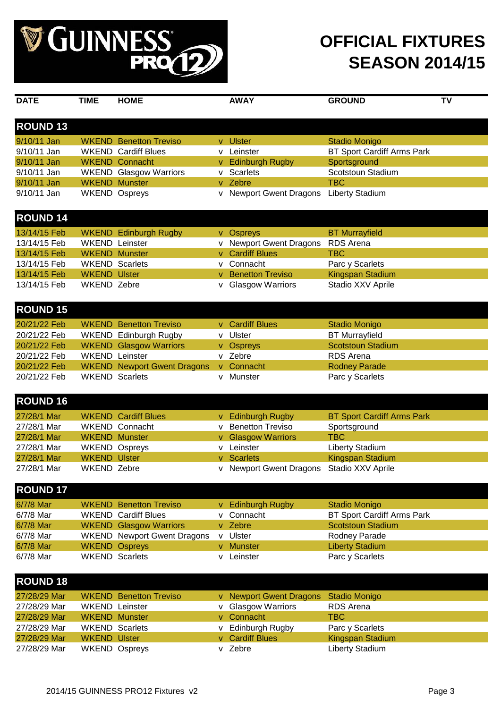

| <b>DATE</b>     | <b>TIME</b>         | <b>HOME</b>                        |    | <b>AWAY</b>                               | <b>GROUND</b>                     | <b>TV</b> |
|-----------------|---------------------|------------------------------------|----|-------------------------------------------|-----------------------------------|-----------|
|                 |                     |                                    |    |                                           |                                   |           |
| <b>ROUND 13</b> |                     |                                    |    |                                           |                                   |           |
|                 |                     |                                    |    |                                           |                                   |           |
| 9/10/11 Jan     |                     | <b>WKEND</b> Benetton Treviso      |    | v Ulster                                  | <b>Stadio Monigo</b>              |           |
| 9/10/11 Jan     |                     | <b>WKEND Cardiff Blues</b>         |    | v Leinster                                | BT Sport Cardiff Arms Park        |           |
| 9/10/11 Jan     |                     | <b>WKEND Connacht</b>              |    | v Edinburgh Rugby                         | Sportsground                      |           |
| 9/10/11 Jan     |                     | <b>WKEND</b> Glasgow Warriors      | v  | Scarlets                                  | Scotstoun Stadium                 |           |
| 9/10/11 Jan     |                     | <b>WKEND Munster</b>               |    | v Zebre                                   | <b>TBC</b>                        |           |
| 9/10/11 Jan     |                     | <b>WKEND Ospreys</b>               |    | v Newport Gwent Dragons                   | <b>Liberty Stadium</b>            |           |
|                 |                     |                                    |    |                                           |                                   |           |
| <b>ROUND 14</b> |                     |                                    |    |                                           |                                   |           |
| 13/14/15 Feb    |                     | <b>WKEND</b> Edinburgh Rugby       |    | v Ospreys                                 | <b>BT</b> Murrayfield             |           |
| 13/14/15 Feb    |                     | <b>WKEND Leinster</b>              | v  | <b>Newport Gwent Dragons</b>              | <b>RDS</b> Arena                  |           |
| 13/14/15 Feb    |                     | <b>WKEND Munster</b>               | V  | <b>Cardiff Blues</b>                      | <b>TBC</b>                        |           |
| 13/14/15 Feb    |                     | <b>WKEND Scarlets</b>              |    | v Connacht                                | Parc y Scarlets                   |           |
| 13/14/15 Feb    | <b>WKEND Ulster</b> |                                    | v  | <b>Benetton Treviso</b>                   | Kingspan Stadium                  |           |
| 13/14/15 Feb    | <b>WKEND Zebre</b>  |                                    | ۷  | <b>Glasgow Warriors</b>                   | Stadio XXV Aprile                 |           |
|                 |                     |                                    |    |                                           |                                   |           |
| <b>ROUND 15</b> |                     |                                    |    |                                           |                                   |           |
| 20/21/22 Feb    |                     | <b>WKEND</b> Benetton Treviso      |    | v Cardiff Blues                           | <b>Stadio Monigo</b>              |           |
| 20/21/22 Feb    |                     | <b>WKEND</b> Edinburgh Rugby       |    | v Ulster                                  | <b>BT</b> Murrayfield             |           |
| 20/21/22 Feb    |                     | <b>WKEND</b> Glasgow Warriors      |    | v Ospreys                                 | <b>Scotstoun Stadium</b>          |           |
| 20/21/22 Feb    |                     | <b>WKEND Leinster</b>              |    | v Zebre                                   | <b>RDS</b> Arena                  |           |
| 20/21/22 Feb    |                     | <b>WKEND</b> Newport Gwent Dragons |    | v Connacht                                | <b>Rodney Parade</b>              |           |
| 20/21/22 Feb    |                     | <b>WKEND Scarlets</b>              |    | v Munster                                 | Parc y Scarlets                   |           |
|                 |                     |                                    |    |                                           |                                   |           |
| <b>ROUND 16</b> |                     |                                    |    |                                           |                                   |           |
| 27/28/1 Mar     |                     | <b>WKEND Cardiff Blues</b>         |    | v Edinburgh Rugby                         | <b>BT Sport Cardiff Arms Park</b> |           |
| 27/28/1 Mar     |                     | <b>WKEND Connacht</b>              |    | v Benetton Treviso                        | Sportsground                      |           |
| 27/28/1 Mar     |                     | <b>WKEND Munster</b>               | V. | <b>Glasgow Warriors</b>                   | <b>TBC</b>                        |           |
| 27/28/1 Mar     |                     | <b>WKEND Ospreys</b>               |    | v Leinster                                | <b>Liberty Stadium</b>            |           |
| 27/28/1 Mar     | <b>WKEND Ulster</b> |                                    |    | v Scarlets                                | Kingspan Stadium                  |           |
| 27/28/1 Mar     | WKEND Zebre         |                                    |    | v Newport Gwent Dragons Stadio XXV Aprile |                                   |           |
|                 |                     |                                    |    |                                           |                                   |           |
| <b>ROUND 17</b> |                     |                                    |    |                                           |                                   |           |
| 6/7/8 Mar       |                     | <b>WKEND</b> Benetton Treviso      |    | v Edinburgh Rugby                         | <b>Stadio Monigo</b>              |           |
| 6/7/8 Mar       |                     | <b>WKEND</b> Cardiff Blues         |    | v Connacht                                | <b>BT Sport Cardiff Arms Park</b> |           |
| 6/7/8 Mar       |                     | <b>WKEND Glasgow Warriors</b>      |    | v Zebre                                   | <b>Scotstoun Stadium</b>          |           |
| 6/7/8 Mar       |                     | <b>WKEND</b> Newport Gwent Dragons |    | v Ulster                                  | Rodney Parade                     |           |
| 6/7/8 Mar       |                     | <b>WKEND Ospreys</b>               |    | v Munster                                 | <b>Liberty Stadium</b>            |           |
| 6/7/8 Mar       |                     | <b>WKEND Scarlets</b>              |    | v Leinster                                | Parc y Scarlets                   |           |
|                 |                     |                                    |    |                                           |                                   |           |
| <b>ROUND 18</b> |                     |                                    |    |                                           |                                   |           |
| 27/28/29 Mar    |                     | <b>WKEND</b> Benetton Treviso      |    | v Newport Gwent Dragons                   | <b>Stadio Monigo</b>              |           |
| 27/28/29 Mar    |                     | <b>WKEND Leinster</b>              |    | v Glasgow Warriors                        | RDS Arena                         |           |
| 27/28/29 Mar    |                     | <b>WKEND Munster</b>               |    | v Connacht                                | <b>TBC</b>                        |           |
| 27/28/29 Mar    |                     | <b>WKEND Scarlets</b>              |    | v Edinburgh Rugby                         | Parc y Scarlets                   |           |
| 27/28/29 Mar    | <b>WKEND Ulster</b> |                                    |    | v Cardiff Blues                           | Kingspan Stadium                  |           |

27/28/29 Mar WKEND Ospreys v Zebre v Zebre Liberty Stadium